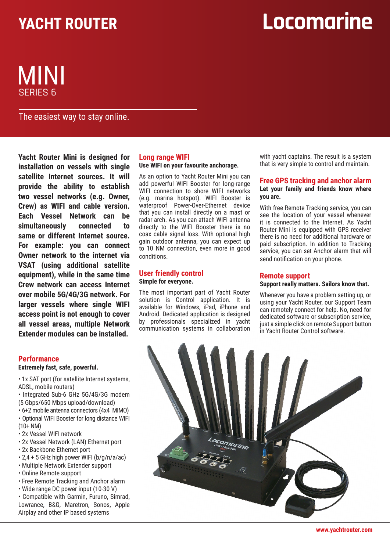## **YACHT ROUTER**

## Locomarine

### SERIES 6 MINI

The easiest way to stay online.

**Yacht Router Mini is designed for installation on vessels with single satellite Internet sources. It will provide the ability to establish two vessel networks (e.g. Owner, Crew) as WIFI and cable version. Each Vessel Network can be simultaneously connected to same or different Internet source. For example: you can connect Owner network to the internet via VSAT (using additional satellite equipment), while in the same time Crew network can access Internet over mobile 5G/4G/3G network. For larger vessels where single WIFI access point is not enough to cover all vessel areas, multiple Network Extender modules can be installed.**

### **Performance**

**Extremely fast, safe, powerful.**

- 1x SAT port (for satellite Internet systems, ADSL, mobile routers)
- Integrated Sub-6 GHz 5G/4G/3G modem (5 Gbps/650 Mbps upload/download)
- 6+2 mobile antenna connectors (4x4 MIMO)
- Optional WIFI Booster for long distance WIFI (10+ NM)
- 2x Vessel WIFI network
- 2x Vessel Network (LAN) Ethernet port
- 2x Backbone Ethernet port
- 2,4 + 5 GHz high power WIFI (b/g/n/a/ac)
- Multiple Network Extender support
- Online Remote support
- Free Remote Tracking and Anchor alarm
- Wide range DC power input (10-30 V)

• Compatible with Garmin, Furuno, Simrad, Lowrance, B&G, Maretron, Sonos, Apple Airplay and other IP based systems

#### **Long range WIFI Use WIFI on your favourite anchorage.**

### As an option to Yacht Router Mini you can

add powerful WIFI Booster for long-range WIFI connection to shore WIFI networks (e.g. marina hotspot). WIFI Booster is waterproof Power-Over-Ethernet device that you can install directly on a mast or radar arch. As you can attach WIFI antenna directly to the WIFI Booster there is no coax cable signal loss. With optional high gain outdoor antenna, you can expect up to 10 NM connection, even more in good conditions.

### **User friendly control Simple for everyone.**

The most important part of Yacht Router solution is Control application. It is available for Windows, iPad, iPhone and Android. Dedicated application is designed by professionals specialized in yacht communication systems in collaboration with yacht captains. The result is a system that is very simple to control and maintain.

### **Free GPS tracking and anchor alarm Let your family and friends know where you are.**

With free Remote Tracking service, you can see the location of your vessel whenever it is connected to the Internet. As Yacht Router Mini is equipped with GPS receiver there is no need for additional hardware or paid subscription. In addition to Tracking service, you can set Anchor alarm that will send notification on your phone.

### **Remote support**

### **Support really matters. Sailors know that.**

Whenever you have a problem setting up, or using your Yacht Router, our Support Team can remotely connect for help. No, need for dedicated software or subscription service, just a simple click on remote Support button in Yacht Router Control software.